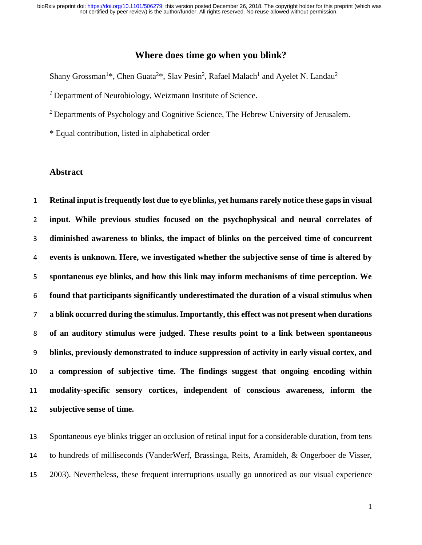# **Where does time go when you blink?**

Shany Grossman<sup>1\*</sup>, Chen Guata<sup>2\*</sup>, Slav Pesin<sup>2</sup>, Rafael Malach<sup>1</sup> and Ayelet N. Landau<sup>2</sup>

Department of Neurobiology, Weizmann Institute of Science.

<sup>2</sup> Departments of Psychology and Cognitive Science, The Hebrew University of Jerusalem.

\* Equal contribution, listed in alphabetical order

## **Abstract**

 **Retinal input is frequently lost due to eye blinks, yet humans rarely notice these gaps in visual input. While previous studies focused on the psychophysical and neural correlates of diminished awareness to blinks, the impact of blinks on the perceived time of concurrent events is unknown. Here, we investigated whether the subjective sense of time is altered by spontaneous eye blinks, and how this link may inform mechanisms of time perception. We found that participants significantly underestimated the duration of a visual stimulus when a blink occurred during the stimulus. Importantly, this effect was not present when durations of an auditory stimulus were judged. These results point to a link between spontaneous blinks, previously demonstrated to induce suppression of activity in early visual cortex, and a compression of subjective time. The findings suggest that ongoing encoding within modality-specific sensory cortices, independent of conscious awareness, inform the subjective sense of time.**

 Spontaneous eye blinks trigger an occlusion of retinal input for a considerable duration, from tens to hundreds of milliseconds (VanderWerf, Brassinga, Reits, Aramideh, & Ongerboer de Visser, 2003). Nevertheless, these frequent interruptions usually go unnoticed as our visual experience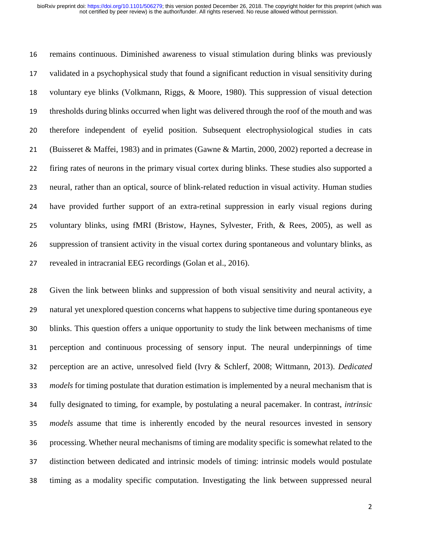remains continuous. Diminished awareness to visual stimulation during blinks was previously validated in a psychophysical study that found a significant reduction in visual sensitivity during voluntary eye blinks (Volkmann, Riggs, & Moore, 1980). This suppression of visual detection thresholds during blinks occurred when light was delivered through the roof of the mouth and was therefore independent of eyelid position. Subsequent electrophysiological studies in cats (Buisseret & Maffei, 1983) and in primates (Gawne & Martin, 2000, 2002) reported a decrease in firing rates of neurons in the primary visual cortex during blinks. These studies also supported a neural, rather than an optical, source of blink-related reduction in visual activity. Human studies have provided further support of an extra-retinal suppression in early visual regions during voluntary blinks, using fMRI (Bristow, Haynes, Sylvester, Frith, & Rees, 2005), as well as suppression of transient activity in the visual cortex during spontaneous and voluntary blinks, as revealed in intracranial EEG recordings (Golan et al., 2016).

 Given the link between blinks and suppression of both visual sensitivity and neural activity, a natural yet unexplored question concerns what happens to subjective time during spontaneous eye blinks. This question offers a unique opportunity to study the link between mechanisms of time perception and continuous processing of sensory input. The neural underpinnings of time perception are an active, unresolved field (Ivry & Schlerf, 2008; Wittmann, 2013). *Dedicated models* for timing postulate that duration estimation is implemented by a neural mechanism that is fully designated to timing, for example, by postulating a neural pacemaker. In contrast, *intrinsic models* assume that time is inherently encoded by the neural resources invested in sensory processing. Whether neural mechanisms of timing are modality specific is somewhat related to the distinction between dedicated and intrinsic models of timing: intrinsic models would postulate timing as a modality specific computation. Investigating the link between suppressed neural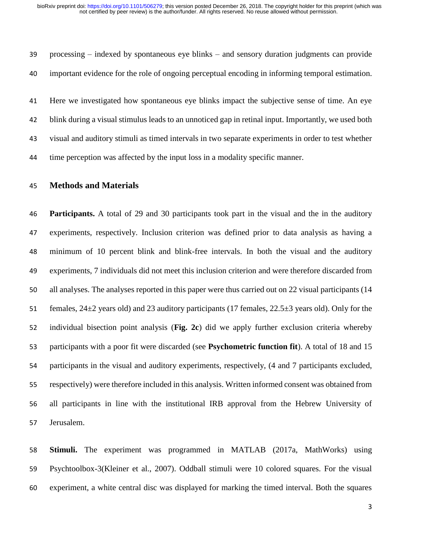processing – indexed by spontaneous eye blinks – and sensory duration judgments can provide important evidence for the role of ongoing perceptual encoding in informing temporal estimation.

 Here we investigated how spontaneous eye blinks impact the subjective sense of time. An eye blink during a visual stimulus leads to an unnoticed gap in retinal input. Importantly, we used both visual and auditory stimuli as timed intervals in two separate experiments in order to test whether time perception was affected by the input loss in a modality specific manner.

### **Methods and Materials**

 **Participants.** A total of 29 and 30 participants took part in the visual and the in the auditory experiments, respectively. Inclusion criterion was defined prior to data analysis as having a minimum of 10 percent blink and blink-free intervals. In both the visual and the auditory experiments, 7 individuals did not meet this inclusion criterion and were therefore discarded from all analyses. The analyses reported in this paper were thus carried out on 22 visual participants (14 females, 24±2 years old) and 23 auditory participants (17 females, 22.5±3 years old). Only for the individual bisection point analysis (**Fig. 2c**) did we apply further exclusion criteria whereby participants with a poor fit were discarded (see **Psychometric function fit**). A total of 18 and 15 participants in the visual and auditory experiments, respectively, (4 and 7 participants excluded, respectively) were therefore included in this analysis. Written informed consent was obtained from all participants in line with the institutional IRB approval from the Hebrew University of Jerusalem.

 **Stimuli.** The experiment was programmed in MATLAB (2017a, MathWorks) using Psychtoolbox-3(Kleiner et al., 2007). Oddball stimuli were 10 colored squares. For the visual experiment, a white central disc was displayed for marking the timed interval. Both the squares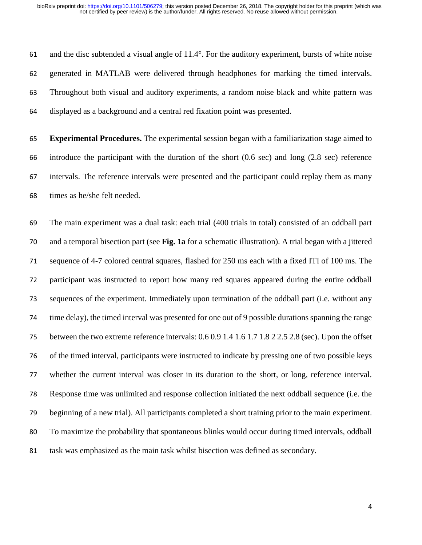and the disc subtended a visual angle of 11.4°. For the auditory experiment, bursts of white noise generated in MATLAB were delivered through headphones for marking the timed intervals. Throughout both visual and auditory experiments, a random noise black and white pattern was displayed as a background and a central red fixation point was presented.

 **Experimental Procedures.** The experimental session began with a familiarization stage aimed to introduce the participant with the duration of the short (0.6 sec) and long (2.8 sec) reference intervals. The reference intervals were presented and the participant could replay them as many times as he/she felt needed.

 The main experiment was a dual task: each trial (400 trials in total) consisted of an oddball part and a temporal bisection part (see **Fig. 1a** for a schematic illustration). A trial began with a jittered sequence of 4-7 colored central squares, flashed for 250 ms each with a fixed ITI of 100 ms. The participant was instructed to report how many red squares appeared during the entire oddball sequences of the experiment. Immediately upon termination of the oddball part (i.e. without any time delay), the timed interval was presented for one out of 9 possible durations spanning the range between the two extreme reference intervals: 0.6 0.9 1.4 1.6 1.7 1.8 2 2.5 2.8 (sec). Upon the offset of the timed interval, participants were instructed to indicate by pressing one of two possible keys whether the current interval was closer in its duration to the short, or long, reference interval. Response time was unlimited and response collection initiated the next oddball sequence (i.e. the beginning of a new trial). All participants completed a short training prior to the main experiment. To maximize the probability that spontaneous blinks would occur during timed intervals, oddball task was emphasized as the main task whilst bisection was defined as secondary.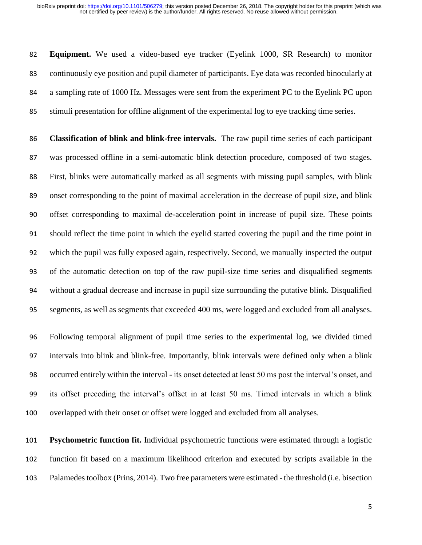**Equipment.** We used a video-based eye tracker (Eyelink 1000, SR Research) to monitor continuously eye position and pupil diameter of participants. Eye data was recorded binocularly at a sampling rate of 1000 Hz. Messages were sent from the experiment PC to the Eyelink PC upon stimuli presentation for offline alignment of the experimental log to eye tracking time series.

 **Classification of blink and blink-free intervals.** The raw pupil time series of each participant was processed offline in a semi-automatic blink detection procedure, composed of two stages. First, blinks were automatically marked as all segments with missing pupil samples, with blink onset corresponding to the point of maximal acceleration in the decrease of pupil size, and blink offset corresponding to maximal de-acceleration point in increase of pupil size. These points should reflect the time point in which the eyelid started covering the pupil and the time point in which the pupil was fully exposed again, respectively. Second, we manually inspected the output of the automatic detection on top of the raw pupil-size time series and disqualified segments without a gradual decrease and increase in pupil size surrounding the putative blink. Disqualified segments, as well as segments that exceeded 400 ms, were logged and excluded from all analyses.

 Following temporal alignment of pupil time series to the experimental log, we divided timed intervals into blink and blink-free. Importantly, blink intervals were defined only when a blink occurred entirely within the interval - its onset detected at least 50 ms post the interval's onset, and its offset preceding the interval's offset in at least 50 ms. Timed intervals in which a blink overlapped with their onset or offset were logged and excluded from all analyses.

 **Psychometric function fit.** Individual psychometric functions were estimated through a logistic function fit based on a maximum likelihood criterion and executed by scripts available in the Palamedes toolbox (Prins, 2014). Two free parameters were estimated - the threshold (i.e. bisection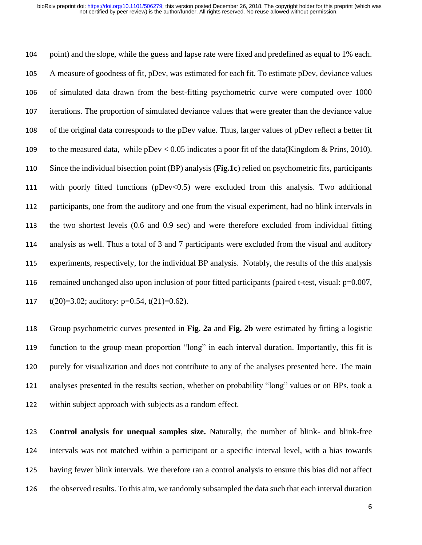point) and the slope, while the guess and lapse rate were fixed and predefined as equal to 1% each. A measure of goodness of fit, pDev, was estimated for each fit. To estimate pDev, deviance values of simulated data drawn from the best-fitting psychometric curve were computed over 1000 iterations. The proportion of simulated deviance values that were greater than the deviance value of the original data corresponds to the pDev value. Thus, larger values of pDev reflect a better fit to the measured data, while pDev < 0.05 indicates a poor fit of the data(Kingdom & Prins, 2010). Since the individual bisection point (BP) analysis (**Fig.1c**) relied on psychometric fits, participants with poorly fitted functions (pDev<0.5) were excluded from this analysis. Two additional participants, one from the auditory and one from the visual experiment, had no blink intervals in the two shortest levels (0.6 and 0.9 sec) and were therefore excluded from individual fitting analysis as well. Thus a total of 3 and 7 participants were excluded from the visual and auditory experiments, respectively, for the individual BP analysis. Notably, the results of the this analysis remained unchanged also upon inclusion of poor fitted participants (paired t-test, visual: p=0.007,  $t(20)=3.02$ ; auditory: p=0.54, t(21)=0.62).

 Group psychometric curves presented in **Fig. 2a** and **Fig. 2b** were estimated by fitting a logistic function to the group mean proportion "long" in each interval duration. Importantly, this fit is purely for visualization and does not contribute to any of the analyses presented here. The main analyses presented in the results section, whether on probability "long" values or on BPs, took a within subject approach with subjects as a random effect.

 **Control analysis for unequal samples size.** Naturally, the number of blink- and blink-free intervals was not matched within a participant or a specific interval level, with a bias towards having fewer blink intervals. We therefore ran a control analysis to ensure this bias did not affect the observed results. To this aim, we randomly subsampled the data such that each interval duration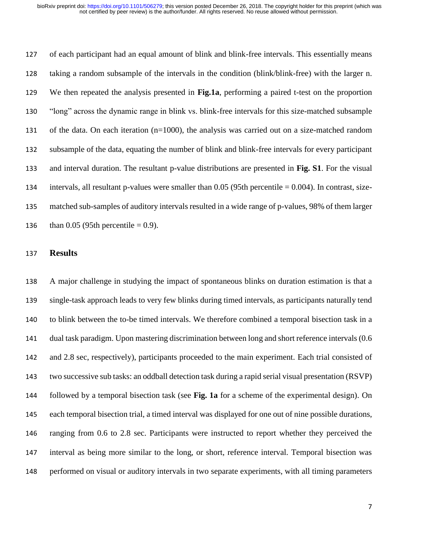of each participant had an equal amount of blink and blink-free intervals. This essentially means taking a random subsample of the intervals in the condition (blink/blink-free) with the larger n. We then repeated the analysis presented in **Fig.1a**, performing a paired t-test on the proportion "long" across the dynamic range in blink vs. blink-free intervals for this size-matched subsample of the data. On each iteration (n=1000), the analysis was carried out on a size-matched random subsample of the data, equating the number of blink and blink-free intervals for every participant and interval duration. The resultant p-value distributions are presented in **Fig. S1**. For the visual intervals, all resultant p-values were smaller than 0.05 (95th percentile = 0.004). In contrast, size- matched sub-samples of auditory intervals resulted in a wide range of p-values, 98% of them larger 136 than  $0.05$  (95th percentile = 0.9).

### **Results**

 A major challenge in studying the impact of spontaneous blinks on duration estimation is that a single-task approach leads to very few blinks during timed intervals, as participants naturally tend to blink between the to-be timed intervals. We therefore combined a temporal bisection task in a dual task paradigm. Upon mastering discrimination between long and short reference intervals (0.6 and 2.8 sec, respectively), participants proceeded to the main experiment. Each trial consisted of two successive sub tasks: an oddball detection task during a rapid serial visual presentation (RSVP) followed by a temporal bisection task (see **Fig. 1a** for a scheme of the experimental design). On each temporal bisection trial, a timed interval was displayed for one out of nine possible durations, ranging from 0.6 to 2.8 sec. Participants were instructed to report whether they perceived the interval as being more similar to the long, or short, reference interval. Temporal bisection was performed on visual or auditory intervals in two separate experiments, with all timing parameters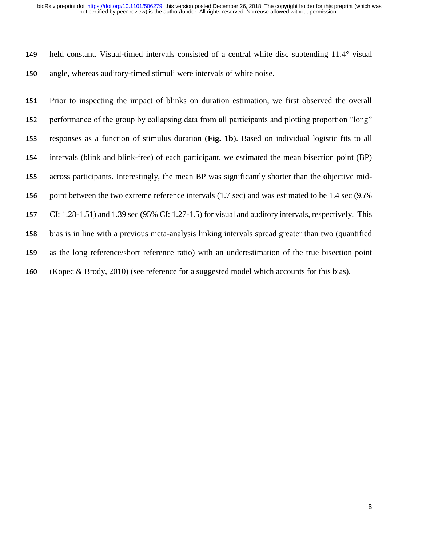#### not certified by peer review) is the author/funder. All rights reserved. No reuse allowed without permission. bioRxiv preprint doi: [https://doi.org/10.1101/506279;](https://doi.org/10.1101/506279) this version posted December 26, 2018. The copyright holder for this preprint (which was

 held constant. Visual-timed intervals consisted of a central white disc subtending 11.4° visual angle, whereas auditory-timed stimuli were intervals of white noise.

 Prior to inspecting the impact of blinks on duration estimation, we first observed the overall performance of the group by collapsing data from all participants and plotting proportion "long" responses as a function of stimulus duration (**Fig. 1b**). Based on individual logistic fits to all intervals (blink and blink-free) of each participant, we estimated the mean bisection point (BP) across participants. Interestingly, the mean BP was significantly shorter than the objective mid- point between the two extreme reference intervals (1.7 sec) and was estimated to be 1.4 sec (95% CI: 1.28-1.51) and 1.39 sec (95% CI: 1.27-1.5) for visual and auditory intervals, respectively. This bias is in line with a previous meta-analysis linking intervals spread greater than two (quantified as the long reference/short reference ratio) with an underestimation of the true bisection point (Kopec & Brody, 2010) (see reference for a suggested model which accounts for this bias).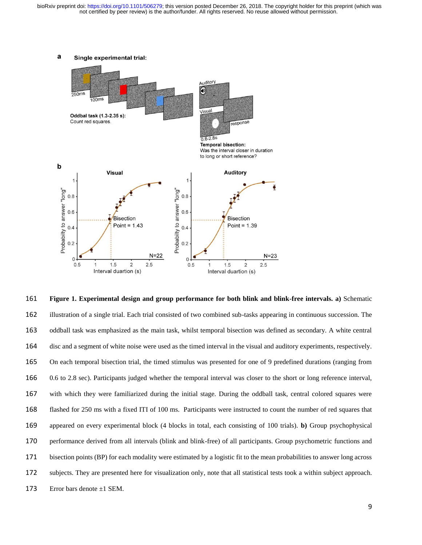not certified by peer review) is the author/funder. All rights reserved. No reuse allowed without permission. bioRxiv preprint doi: [https://doi.org/10.1101/506279;](https://doi.org/10.1101/506279) this version posted December 26, 2018. The copyright holder for this preprint (which was



 **Figure 1. Experimental design and group performance for both blink and blink-free intervals. a)** Schematic illustration of a single trial. Each trial consisted of two combined sub-tasks appearing in continuous succession. The oddball task was emphasized as the main task, whilst temporal bisection was defined as secondary. A white central disc and a segment of white noise were used as the timed interval in the visual and auditory experiments, respectively. On each temporal bisection trial, the timed stimulus was presented for one of 9 predefined durations (ranging from 0.6 to 2.8 sec). Participants judged whether the temporal interval was closer to the short or long reference interval, with which they were familiarized during the initial stage. During the oddball task, central colored squares were flashed for 250 ms with a fixed ITI of 100 ms. Participants were instructed to count the number of red squares that appeared on every experimental block (4 blocks in total, each consisting of 100 trials). **b)** Group psychophysical performance derived from all intervals (blink and blink-free) of all participants. Group psychometric functions and bisection points (BP) for each modality were estimated by a logistic fit to the mean probabilities to answer long across subjects. They are presented here for visualization only, note that all statistical tests took a within subject approach. 173 Error bars denote  $\pm 1$  SEM.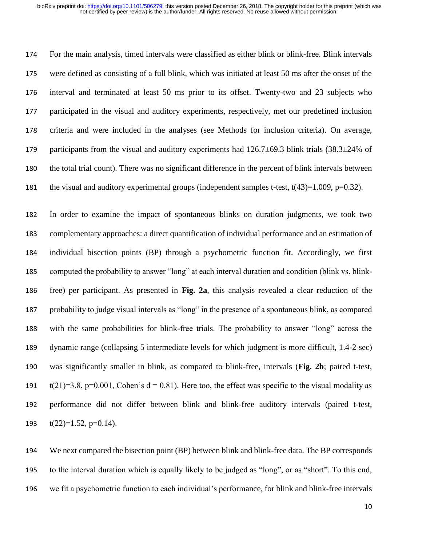For the main analysis, timed intervals were classified as either blink or blink-free. Blink intervals were defined as consisting of a full blink, which was initiated at least 50 ms after the onset of the interval and terminated at least 50 ms prior to its offset. Twenty-two and 23 subjects who participated in the visual and auditory experiments, respectively, met our predefined inclusion criteria and were included in the analyses (see Methods for inclusion criteria). On average, 179 participants from the visual and auditory experiments had  $126.7\pm69.3$  blink trials  $(38.3\pm24\%$  of the total trial count). There was no significant difference in the percent of blink intervals between 181 the visual and auditory experimental groups (independent samples t-test,  $t(43)=1.009$ ,  $p=0.32$ ).

 In order to examine the impact of spontaneous blinks on duration judgments, we took two complementary approaches: a direct quantification of individual performance and an estimation of individual bisection points (BP) through a psychometric function fit. Accordingly, we first computed the probability to answer "long" at each interval duration and condition (blink vs. blink- free) per participant. As presented in **Fig. 2a**, this analysis revealed a clear reduction of the probability to judge visual intervals as "long" in the presence of a spontaneous blink, as compared with the same probabilities for blink-free trials. The probability to answer "long" across the dynamic range (collapsing 5 intermediate levels for which judgment is more difficult, 1.4-2 sec) was significantly smaller in blink, as compared to blink-free, intervals (**Fig. 2b**; paired t-test, 191 t(21)=3.8, p=0.001, Cohen's  $d = 0.81$ ). Here too, the effect was specific to the visual modality as performance did not differ between blink and blink-free auditory intervals (paired t-test,  $t(22)=1.52$ , p=0.14).

 We next compared the bisection point (BP) between blink and blink-free data. The BP corresponds to the interval duration which is equally likely to be judged as "long", or as "short". To this end, we fit a psychometric function to each individual's performance, for blink and blink-free intervals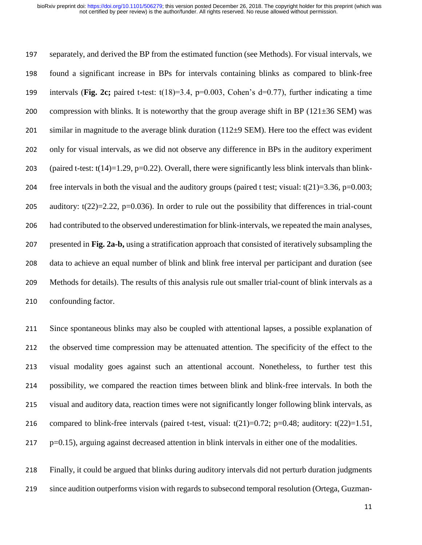separately, and derived the BP from the estimated function (see Methods). For visual intervals, we found a significant increase in BPs for intervals containing blinks as compared to blink-free intervals (**Fig. 2c;** paired t-test: t(18)=3.4, p=0.003, Cohen's d=0.77), further indicating a time 200 compression with blinks. It is noteworthy that the group average shift in BP ( $121\pm36$  SEM) was 201 similar in magnitude to the average blink duration  $(112\pm 9 \text{ SEM})$ . Here too the effect was evident only for visual intervals, as we did not observe any difference in BPs in the auditory experiment 203 (paired t-test:  $t(14)=1.29$ , p=0.22). Overall, there were significantly less blink intervals than blink-204 free intervals in both the visual and the auditory groups (paired t test; visual:  $t(21)=3.36$ ,  $p=0.003$ ; 205 auditory:  $t(22)=2.22$ ,  $p=0.036$ ). In order to rule out the possibility that differences in trial-count had contributed to the observed underestimation for blink-intervals, we repeated the main analyses, presented in **Fig. 2a-b,** using a stratification approach that consisted of iteratively subsampling the data to achieve an equal number of blink and blink free interval per participant and duration (see Methods for details). The results of this analysis rule out smaller trial-count of blink intervals as a confounding factor.

 Since spontaneous blinks may also be coupled with attentional lapses, a possible explanation of the observed time compression may be attenuated attention. The specificity of the effect to the visual modality goes against such an attentional account. Nonetheless, to further test this possibility, we compared the reaction times between blink and blink-free intervals. In both the visual and auditory data, reaction times were not significantly longer following blink intervals, as 216 compared to blink-free intervals (paired t-test, visual:  $t(21)=0.72$ ; p=0.48; auditory:  $t(22)=1.51$ , p=0.15), arguing against decreased attention in blink intervals in either one of the modalities.

 Finally, it could be argued that blinks during auditory intervals did not perturb duration judgments since audition outperforms vision with regards to subsecond temporal resolution (Ortega, Guzman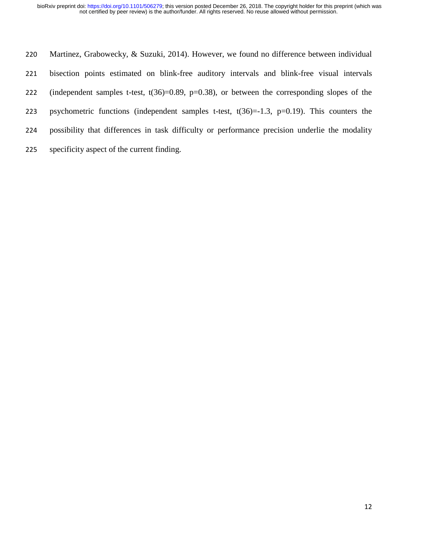Martinez, Grabowecky, & Suzuki, 2014). However, we found no difference between individual bisection points estimated on blink-free auditory intervals and blink-free visual intervals 222 (independent samples t-test, t(36)=0.89, p=0.38), or between the corresponding slopes of the 223 psychometric functions (independent samples t-test,  $t(36)=1.3$ ,  $p=0.19$ ). This counters the possibility that differences in task difficulty or performance precision underlie the modality specificity aspect of the current finding.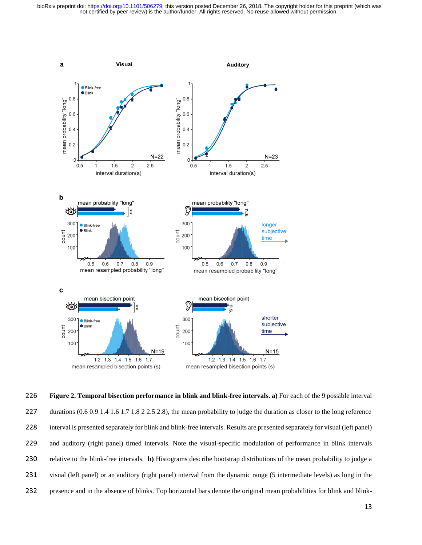not certified by peer review) is the author/funder. All rights reserved. No reuse allowed without permission. bioRxiv preprint doi: [https://doi.org/10.1101/506279;](https://doi.org/10.1101/506279) this version posted December 26, 2018. The copyright holder for this preprint (which was



 **Figure 2. Temporal bisection performance in blink and blink-free intervals. a)** For each of the 9 possible interval 227 durations (0.6 0.9 1.4 1.6 1.7 1.8 2 2.5 2.8), the mean probability to judge the duration as closer to the long reference 228 interval is presented separately for blink and blink-free intervals. Results are presented separately for visual (left panel) and auditory (right panel) timed intervals. Note the visual-specific modulation of performance in blink intervals relative to the blink-free intervals. **b)** Histograms describe bootstrap distributions of the mean probability to judge a visual (left panel) or an auditory (right panel) interval from the dynamic range (5 intermediate levels) as long in the presence and in the absence of blinks. Top horizontal bars denote the original mean probabilities for blink and blink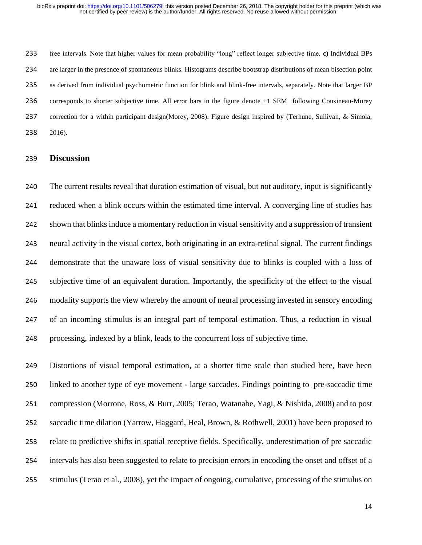free intervals. Note that higher values for mean probability "long" reflect longer subjective time. **c)** Individual BPs are larger in the presence of spontaneous blinks. Histograms describe bootstrap distributions of mean bisection point as derived from individual psychometric function for blink and blink-free intervals, separately. Note that larger BP 236 corresponds to shorter subjective time. All error bars in the figure denote  $\pm 1$  SEM following Cousineau-Morey correction for a within participant design(Morey, 2008). Figure design inspired by (Terhune, Sullivan, & Simola, 2016).

### **Discussion**

 The current results reveal that duration estimation of visual, but not auditory, input is significantly reduced when a blink occurs within the estimated time interval. A converging line of studies has shown that blinks induce a momentary reduction in visual sensitivity and a suppression of transient neural activity in the visual cortex, both originating in an extra-retinal signal. The current findings demonstrate that the unaware loss of visual sensitivity due to blinks is coupled with a loss of subjective time of an equivalent duration. Importantly, the specificity of the effect to the visual modality supports the view whereby the amount of neural processing invested in sensory encoding of an incoming stimulus is an integral part of temporal estimation. Thus, a reduction in visual processing, indexed by a blink, leads to the concurrent loss of subjective time.

 Distortions of visual temporal estimation, at a shorter time scale than studied here, have been linked to another type of eye movement - large saccades. Findings pointing to pre-saccadic time compression (Morrone, Ross, & Burr, 2005; Terao, Watanabe, Yagi, & Nishida, 2008) and to post saccadic time dilation (Yarrow, Haggard, Heal, Brown, & Rothwell, 2001) have been proposed to relate to predictive shifts in spatial receptive fields. Specifically, underestimation of pre saccadic intervals has also been suggested to relate to precision errors in encoding the onset and offset of a stimulus (Terao et al., 2008), yet the impact of ongoing, cumulative, processing of the stimulus on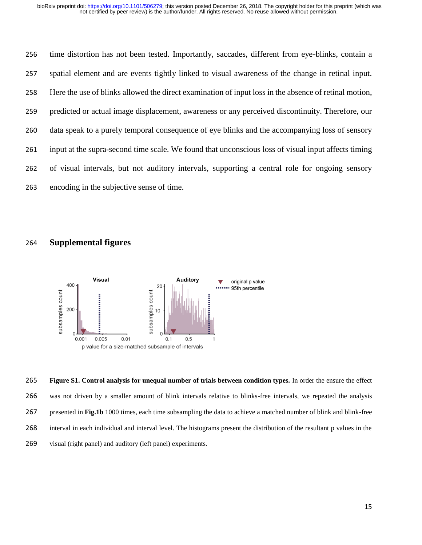time distortion has not been tested. Importantly, saccades, different from eye-blinks, contain a spatial element and are events tightly linked to visual awareness of the change in retinal input. Here the use of blinks allowed the direct examination of input loss in the absence of retinal motion, predicted or actual image displacement, awareness or any perceived discontinuity. Therefore, our data speak to a purely temporal consequence of eye blinks and the accompanying loss of sensory input at the supra-second time scale. We found that unconscious loss of visual input affects timing of visual intervals, but not auditory intervals, supporting a central role for ongoing sensory encoding in the subjective sense of time.

# **Supplemental figures**



 **Figure S1. Control analysis for unequal number of trials between condition types.** In order the ensure the effect was not driven by a smaller amount of blink intervals relative to blinks-free intervals, we repeated the analysis presented in **Fig.1b** 1000 times, each time subsampling the data to achieve a matched number of blink and blink-free interval in each individual and interval level. The histograms present the distribution of the resultant p values in the visual (right panel) and auditory (left panel) experiments.